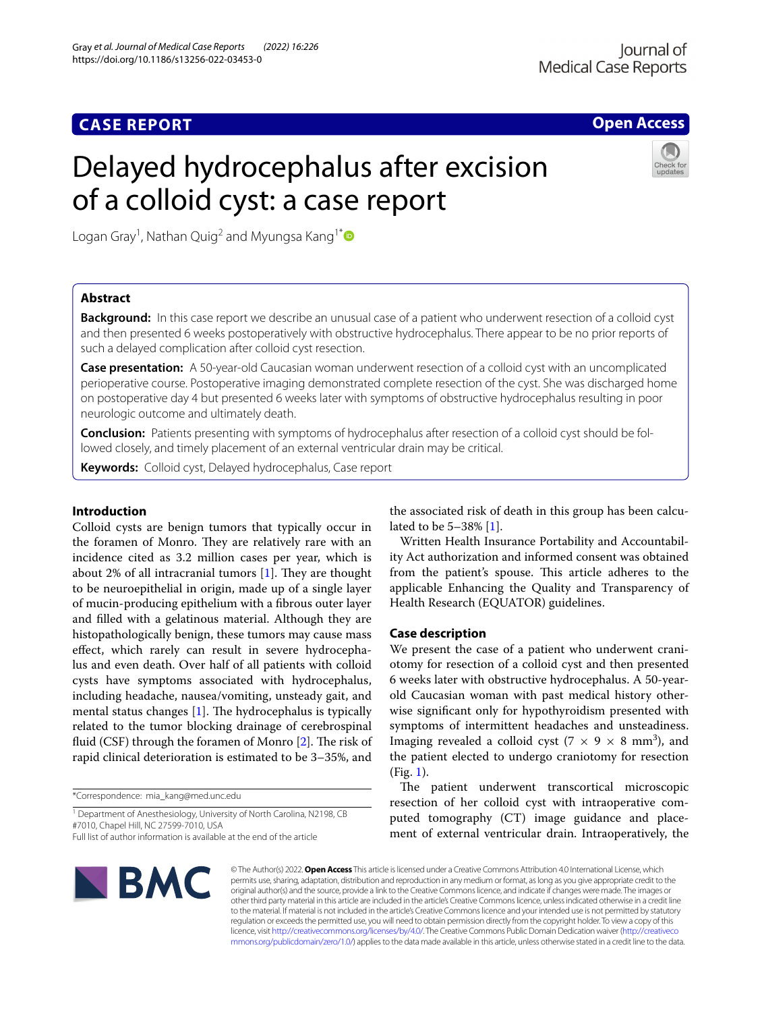**Open Access**

# Delayed hydrocephalus after excision of a colloid cyst: a case report



Logan Gray<sup>1</sup>, Nathan Quig<sup>2</sup> and Myungsa Kang<sup>1\*</sup>  $\bullet$ 

# **Abstract**

**Background:** In this case report we describe an unusual case of a patient who underwent resection of a colloid cyst and then presented 6 weeks postoperatively with obstructive hydrocephalus. There appear to be no prior reports of such a delayed complication after colloid cyst resection.

**Case presentation:** A 50-year-old Caucasian woman underwent resection of a colloid cyst with an uncomplicated perioperative course. Postoperative imaging demonstrated complete resection of the cyst. She was discharged home on postoperative day 4 but presented 6 weeks later with symptoms of obstructive hydrocephalus resulting in poor neurologic outcome and ultimately death.

**Conclusion:** Patients presenting with symptoms of hydrocephalus after resection of a colloid cyst should be followed closely, and timely placement of an external ventricular drain may be critical.

**Keywords:** Colloid cyst, Delayed hydrocephalus, Case report

# **Introduction**

Colloid cysts are benign tumors that typically occur in the foramen of Monro. They are relatively rare with an incidence cited as 3.2 million cases per year, which is about 2% of all intracranial tumors  $[1]$  $[1]$  $[1]$ . They are thought to be neuroepithelial in origin, made up of a single layer of mucin-producing epithelium with a fbrous outer layer and flled with a gelatinous material. Although they are histopathologically benign, these tumors may cause mass efect, which rarely can result in severe hydrocephalus and even death. Over half of all patients with colloid cysts have symptoms associated with hydrocephalus, including headache, nausea/vomiting, unsteady gait, and mental status changes  $[1]$  $[1]$ . The hydrocephalus is typically related to the tumor blocking drainage of cerebrospinal fluid (CSF) through the foramen of Monro  $[2]$  $[2]$ . The risk of rapid clinical deterioration is estimated to be 3–35%, and

\*Correspondence: mia\_kang@med.unc.edu

<sup>1</sup> Department of Anesthesiology, University of North Carolina, N2198, CB #7010, Chapel Hill, NC 27599-7010, USA

Full list of author information is available at the end of the article

the associated risk of death in this group has been calculated to be 5–38% [[1\]](#page-3-0).

Written Health Insurance Portability and Accountability Act authorization and informed consent was obtained from the patient's spouse. This article adheres to the applicable Enhancing the Quality and Transparency of Health Research (EQUATOR) guidelines.

# **Case description**

We present the case of a patient who underwent craniotomy for resection of a colloid cyst and then presented 6 weeks later with obstructive hydrocephalus. A 50-yearold Caucasian woman with past medical history otherwise signifcant only for hypothyroidism presented with symptoms of intermittent headaches and unsteadiness. Imaging revealed a colloid cyst ( $7 \times 9 \times 8$  mm<sup>3</sup>), and the patient elected to undergo craniotomy for resection (Fig. [1\)](#page-1-0).

The patient underwent transcortical microscopic resection of her colloid cyst with intraoperative computed tomography (CT) image guidance and placement of external ventricular drain. Intraoperatively, the



© The Author(s) 2022. **Open Access** This article is licensed under a Creative Commons Attribution 4.0 International License, which permits use, sharing, adaptation, distribution and reproduction in any medium or format, as long as you give appropriate credit to the original author(s) and the source, provide a link to the Creative Commons licence, and indicate if changes were made. The images or other third party material in this article are included in the article's Creative Commons licence, unless indicated otherwise in a credit line to the material. If material is not included in the article's Creative Commons licence and your intended use is not permitted by statutory regulation or exceeds the permitted use, you will need to obtain permission directly from the copyright holder. To view a copy of this licence, visit [http://creativecommons.org/licenses/by/4.0/.](http://creativecommons.org/licenses/by/4.0/) The Creative Commons Public Domain Dedication waiver ([http://creativeco](http://creativecommons.org/publicdomain/zero/1.0/) [mmons.org/publicdomain/zero/1.0/](http://creativecommons.org/publicdomain/zero/1.0/)) applies to the data made available in this article, unless otherwise stated in a credit line to the data.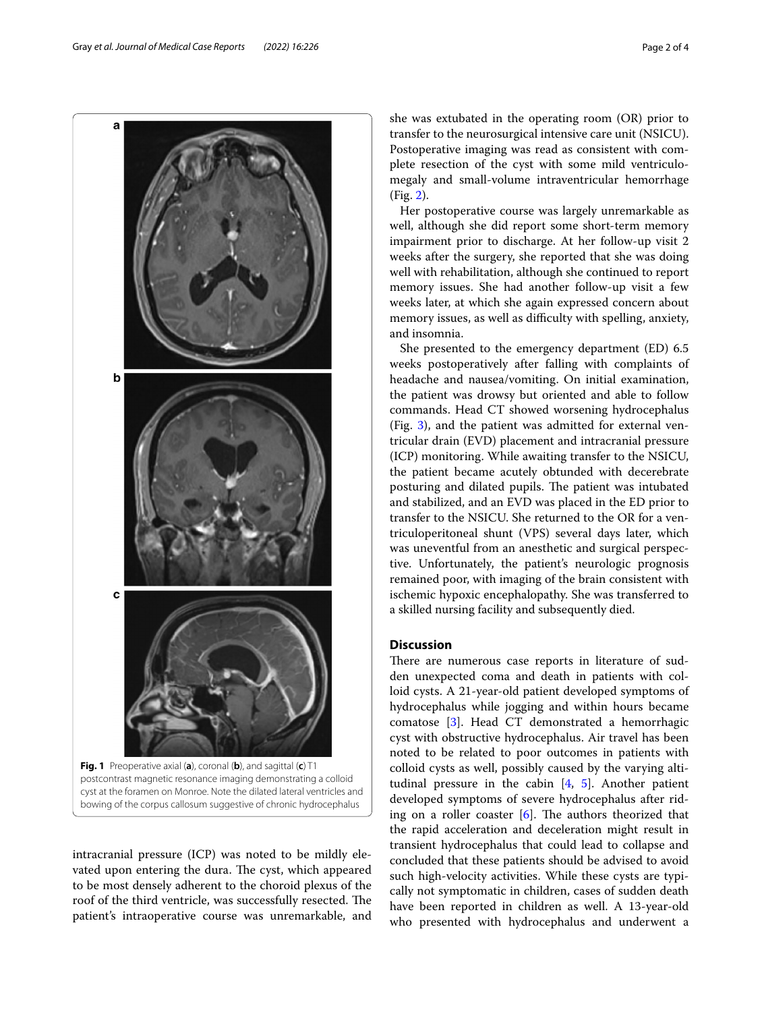<span id="page-1-0"></span>intracranial pressure (ICP) was noted to be mildly elevated upon entering the dura. The cyst, which appeared to be most densely adherent to the choroid plexus of the roof of the third ventricle, was successfully resected. The patient's intraoperative course was unremarkable, and

She presented to the emergency department (ED) 6.5 weeks postoperatively after falling with complaints of headache and nausea/vomiting. On initial examination, the patient was drowsy but oriented and able to follow commands. Head CT showed worsening hydrocephalus (Fig. [3](#page-2-1)), and the patient was admitted for external ventricular drain (EVD) placement and intracranial pressure (ICP) monitoring. While awaiting transfer to the NSICU, the patient became acutely obtunded with decerebrate posturing and dilated pupils. The patient was intubated and stabilized, and an EVD was placed in the ED prior to transfer to the NSICU. She returned to the OR for a ventriculoperitoneal shunt (VPS) several days later, which was uneventful from an anesthetic and surgical perspective. Unfortunately, the patient's neurologic prognosis remained poor, with imaging of the brain consistent with ischemic hypoxic encephalopathy. She was transferred to a skilled nursing facility and subsequently died.

# **Discussion**

and insomnia.

There are numerous case reports in literature of sudden unexpected coma and death in patients with colloid cysts. A 21-year-old patient developed symptoms of hydrocephalus while jogging and within hours became comatose [\[3](#page-3-2)]. Head CT demonstrated a hemorrhagic cyst with obstructive hydrocephalus. Air travel has been noted to be related to poor outcomes in patients with colloid cysts as well, possibly caused by the varying altitudinal pressure in the cabin  $[4, 5]$  $[4, 5]$  $[4, 5]$  $[4, 5]$  $[4, 5]$ . Another patient developed symptoms of severe hydrocephalus after riding on a roller coaster  $[6]$ . The authors theorized that the rapid acceleration and deceleration might result in transient hydrocephalus that could lead to collapse and concluded that these patients should be advised to avoid such high-velocity activities. While these cysts are typically not symptomatic in children, cases of sudden death have been reported in children as well. A 13-year-old who presented with hydrocephalus and underwent a

she was extubated in the operating room (OR) prior to transfer to the neurosurgical intensive care unit (NSICU). Postoperative imaging was read as consistent with complete resection of the cyst with some mild ventriculomegaly and small-volume intraventricular hemorrhage (Fig. [2\)](#page-2-0).

Her postoperative course was largely unremarkable as well, although she did report some short-term memory impairment prior to discharge. At her follow-up visit 2 weeks after the surgery, she reported that she was doing well with rehabilitation, although she continued to report memory issues. She had another follow-up visit a few weeks later, at which she again expressed concern about memory issues, as well as difficulty with spelling, anxiety,

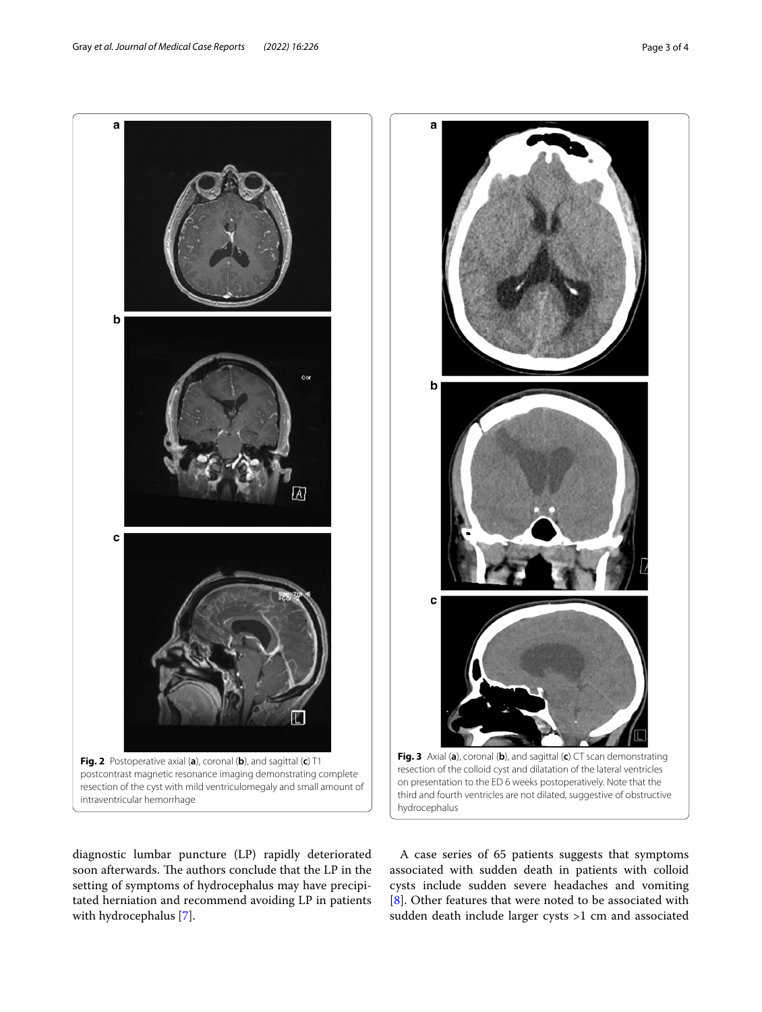diagnostic lumbar puncture (LP) rapidly deteriorated soon afterwards. The authors conclude that the LP in the setting of symptoms of hydrocephalus may have precipitated herniation and recommend avoiding LP in patients with hydrocephalus [\[7](#page-3-6)].

<span id="page-2-1"></span>A case series of 65 patients suggests that symptoms associated with sudden death in patients with colloid cysts include sudden severe headaches and vomiting [[8\]](#page-3-7). Other features that were noted to be associated with sudden death include larger cysts >1 cm and associated





a

<span id="page-2-0"></span>